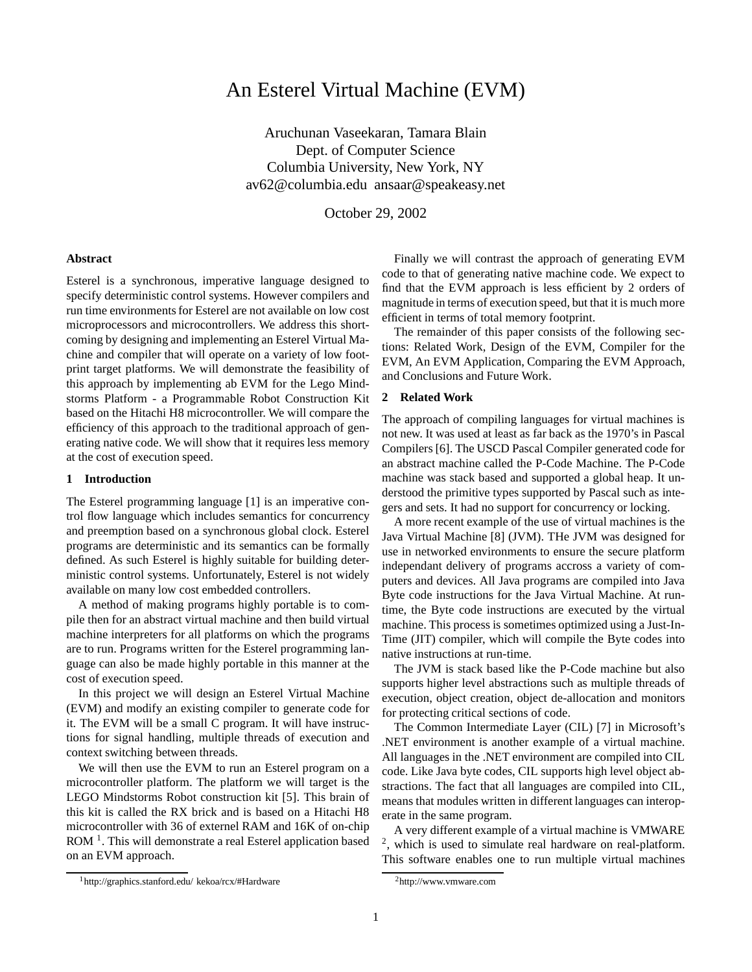# An Esterel Virtual Machine (EVM)

Aruchunan Vaseekaran, Tamara Blain Dept. of Computer Science Columbia University, New York, NY av62@columbia.edu ansaar@speakeasy.net

October 29, 2002

#### **Abstract**

Esterel is a synchronous, imperative language designed to specify deterministic control systems. However compilers and run time environments for Esterel are not available on low cost microprocessors and microcontrollers. We address this shortcoming by designing and implementing an Esterel Virtual Machine and compiler that will operate on a variety of low footprint target platforms. We will demonstrate the feasibility of this approach by implementing ab EVM for the Lego Mindstorms Platform - a Programmable Robot Construction Kit based on the Hitachi H8 microcontroller. We will compare the efficiency of this approach to the traditional approach of generating native code. We will show that it requires less memory at the cost of execution speed.

# **1 Introduction**

The Esterel programming language [1] is an imperative control flow language which includes semantics for concurrency and preemption based on a synchronous global clock. Esterel programs are deterministic and its semantics can be formally defined. As such Esterel is highly suitable for building deterministic control systems. Unfortunately, Esterel is not widely available on many low cost embedded controllers.

A method of making programs highly portable is to compile then for an abstract virtual machine and then build virtual machine interpreters for all platforms on which the programs are to run. Programs written for the Esterel programming language can also be made highly portable in this manner at the cost of execution speed.

In this project we will design an Esterel Virtual Machine (EVM) and modify an existing compiler to generate code for it. The EVM will be a small C program. It will have instructions for signal handling, multiple threads of execution and context switching between threads.

We will then use the EVM to run an Esterel program on a microcontroller platform. The platform we will target is the LEGO Mindstorms Robot construction kit [5]. This brain of this kit is called the RX brick and is based on a Hitachi H8 microcontroller with 36 of externel RAM and 16K of on-chip ROM<sup>1</sup>. This will demonstrate a real Esterel application based on an EVM approach.

Finally we will contrast the approach of generating EVM code to that of generating native machine code. We expect to find that the EVM approach is less efficient by 2 orders of magnitude in terms of execution speed, but that it is much more efficient in terms of total memory footprint.

The remainder of this paper consists of the following sections: Related Work, Design of the EVM, Compiler for the EVM, An EVM Application, Comparing the EVM Approach, and Conclusions and Future Work.

### **2 Related Work**

The approach of compiling languages for virtual machines is not new. It was used at least as far back as the 1970's in Pascal Compilers [6]. The USCD Pascal Compiler generated code for an abstract machine called the P-Code Machine. The P-Code machine was stack based and supported a global heap. It understood the primitive types supported by Pascal such as integers and sets. It had no support for concurrency or locking.

A more recent example of the use of virtual machines is the Java Virtual Machine [8] (JVM). THe JVM was designed for use in networked environments to ensure the secure platform independant delivery of programs accross a variety of computers and devices. All Java programs are compiled into Java Byte code instructions for the Java Virtual Machine. At runtime, the Byte code instructions are executed by the virtual machine. This process is sometimes optimized using a Just-In-Time (JIT) compiler, which will compile the Byte codes into native instructions at run-time.

The JVM is stack based like the P-Code machine but also supports higher level abstractions such as multiple threads of execution, object creation, object de-allocation and monitors for protecting critical sections of code.

The Common Intermediate Layer (CIL) [7] in Microsoft's .NET environment is another example of a virtual machine. All languages in the .NET environment are compiled into CIL code. Like Java byte codes, CIL supports high level object abstractions. The fact that all languages are compiled into CIL, means that modules written in different languages can interoperate in the same program.

A very different example of a virtual machine is VMWARE 2 , which is used to simulate real hardware on real-platform. This software enables one to run multiple virtual machines

<sup>1</sup>http://graphics.stanford.edu/ kekoa/rcx/#Hardware

<sup>2</sup>http://www.vmware.com